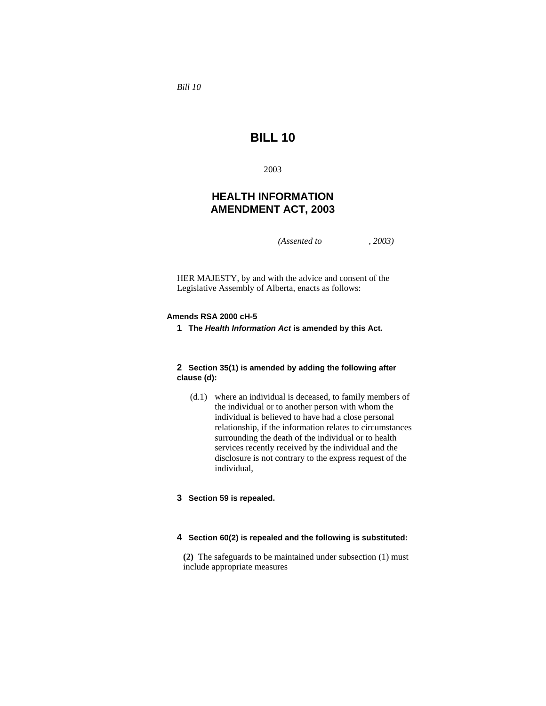*Bill 10* 

# **BILL 10**

2003

## **HEALTH INFORMATION AMENDMENT ACT, 2003**

*(Assented to , 2003)* 

HER MAJESTY, by and with the advice and consent of the Legislative Assembly of Alberta, enacts as follows:

### **Amends RSA 2000 cH-5**

**1 The** *Health Information Act* **is amended by this Act.** 

### **2 Section 35(1) is amended by adding the following after clause (d):**

- (d.1) where an individual is deceased, to family members of the individual or to another person with whom the individual is believed to have had a close personal relationship, if the information relates to circumstances surrounding the death of the individual or to health services recently received by the individual and the disclosure is not contrary to the express request of the individual,
- **3 Section 59 is repealed.**

#### **4 Section 60(2) is repealed and the following is substituted:**

**(2)** The safeguards to be maintained under subsection (1) must include appropriate measures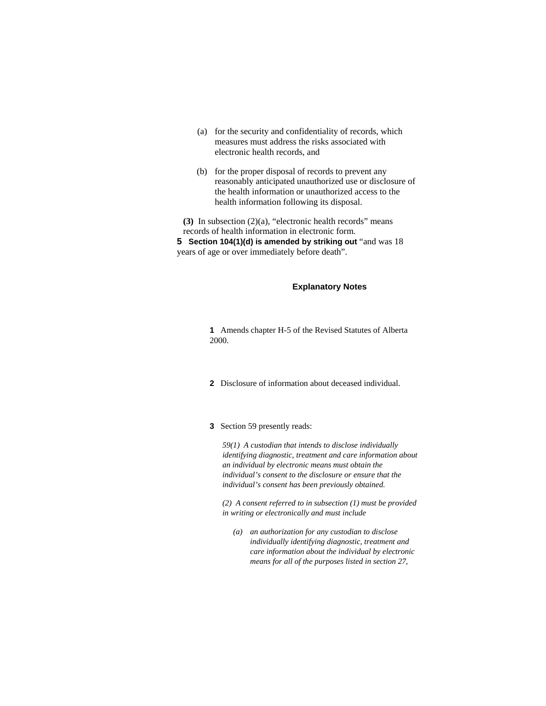- (a) for the security and confidentiality of records, which measures must address the risks associated with electronic health records, and
- (b) for the proper disposal of records to prevent any reasonably anticipated unauthorized use or disclosure of the health information or unauthorized access to the health information following its disposal.

**(3)** In subsection (2)(a), "electronic health records" means records of health information in electronic form. **5** Section 104(1)(d) is amended by striking out "and was 18 years of age or over immediately before death".

#### **Explanatory Notes**

**1** Amends chapter H-5 of the Revised Statutes of Alberta 2000.

- **2** Disclosure of information about deceased individual.
- **3** Section 59 presently reads:

*59(1) A custodian that intends to disclose individually identifying diagnostic, treatment and care information about an individual by electronic means must obtain the individual's consent to the disclosure or ensure that the individual's consent has been previously obtained.* 

*(2) A consent referred to in subsection (1) must be provided in writing or electronically and must include* 

*(a) an authorization for any custodian to disclose individually identifying diagnostic, treatment and care information about the individual by electronic means for all of the purposes listed in section 27,*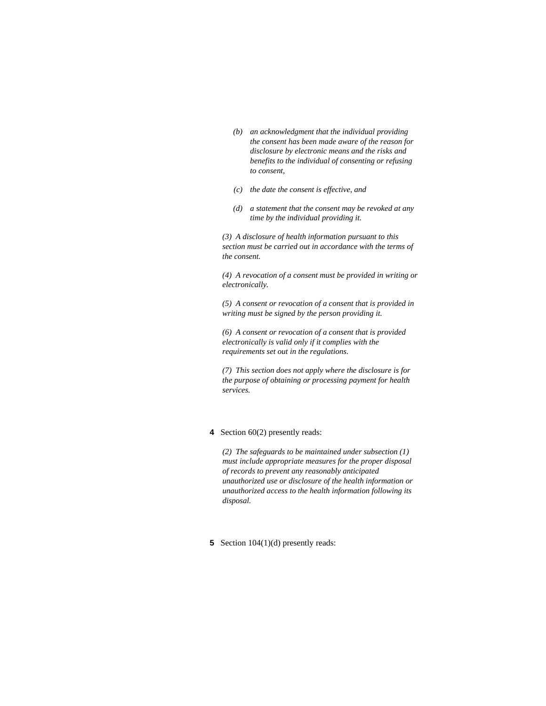- *(b) an acknowledgment that the individual providing the consent has been made aware of the reason for disclosure by electronic means and the risks and benefits to the individual of consenting or refusing to consent,*
- *(c) the date the consent is effective, and*
- *(d) a statement that the consent may be revoked at any time by the individual providing it.*

*(3) A disclosure of health information pursuant to this section must be carried out in accordance with the terms of the consent.* 

*(4) A revocation of a consent must be provided in writing or electronically.* 

*(5) A consent or revocation of a consent that is provided in writing must be signed by the person providing it.* 

*(6) A consent or revocation of a consent that is provided electronically is valid only if it complies with the requirements set out in the regulations.* 

*(7) This section does not apply where the disclosure is for the purpose of obtaining or processing payment for health services.* 

#### **4** Section 60(2) presently reads:

*(2) The safeguards to be maintained under subsection (1) must include appropriate measures for the proper disposal of records to prevent any reasonably anticipated unauthorized use or disclosure of the health information or unauthorized access to the health information following its disposal.* 

**5** Section 104(1)(d) presently reads: